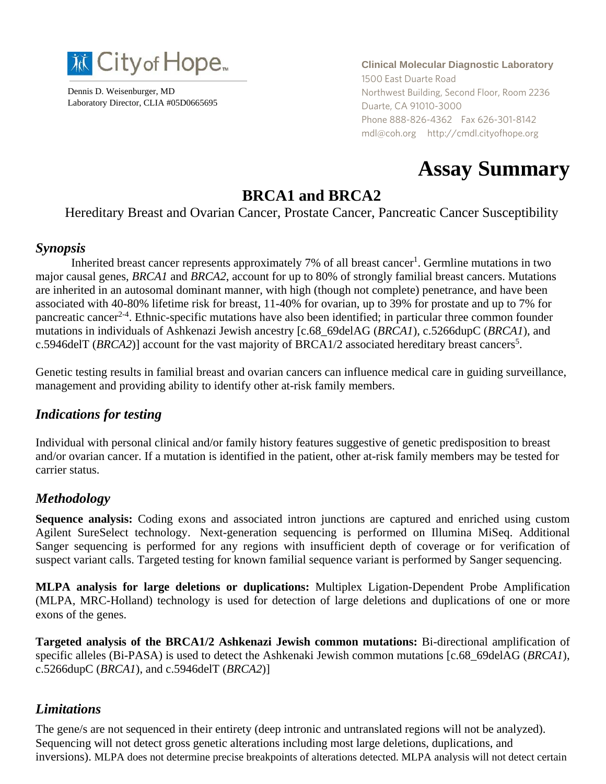

Dennis D. Weisenburger, MD Laboratory Director, CLIA #05D0665695 **Clinical Molecular Diagnostic Laboratory** 1500 East Duarte Road Northwest Building, Second Floor, Room 2236 Duarte, CA 91010-3000 Phone 888-826-4362 Fax 626-301-8142 mdl@coh.org http://cmdl.cityofhope.org

# **Assay Summary**

# **BRCA1 and BRCA2**

Hereditary Breast and Ovarian Cancer, Prostate Cancer, Pancreatic Cancer Susceptibility

#### *Synopsis*

Inherited breast cancer represents approximately 7% of all breast cancer<sup>1</sup>. Germline mutations in two major causal genes, *BRCA1* and *BRCA2*, account for up to 80% of strongly familial breast cancers. Mutations are inherited in an autosomal dominant manner, with high (though not complete) penetrance, and have been associated with 40-80% lifetime risk for breast, 11-40% for ovarian, up to 39% for prostate and up to 7% for pancreatic cancer<sup>2-4</sup>. Ethnic-specific mutations have also been identified; in particular three common founder mutations in individuals of Ashkenazi Jewish ancestry [c.68\_69delAG (*BRCA1*), c.5266dupC (*BRCA1*), and c.5946delT (*BRCA2*)] account for the vast majority of BRCA1/2 associated hereditary breast cancers<sup>5</sup>.

Genetic testing results in familial breast and ovarian cancers can influence medical care in guiding surveillance, management and providing ability to identify other at-risk family members.

#### *Indications for testing*

Individual with personal clinical and/or family history features suggestive of genetic predisposition to breast and/or ovarian cancer. If a mutation is identified in the patient, other at-risk family members may be tested for carrier status.

## *Methodology*

**Sequence analysis:** Coding exons and associated intron junctions are captured and enriched using custom Agilent SureSelect technology. Next-generation sequencing is performed on Illumina MiSeq. Additional Sanger sequencing is performed for any regions with insufficient depth of coverage or for verification of suspect variant calls. Targeted testing for known familial sequence variant is performed by Sanger sequencing.

**MLPA analysis for large deletions or duplications:** Multiplex Ligation-Dependent Probe Amplification (MLPA, MRC-Holland) technology is used for detection of large deletions and duplications of one or more exons of the genes.

**Targeted analysis of the BRCA1/2 Ashkenazi Jewish common mutations:** Bi-directional amplification of specific alleles (Bi-PASA) is used to detect the Ashkenaki Jewish common mutations [c.68\_69delAG (*BRCA1*), c.5266dupC (*BRCA1*), and c.5946delT (*BRCA2*)]

## *Limitations*

The gene/s are not sequenced in their entirety (deep intronic and untranslated regions will not be analyzed). Sequencing will not detect gross genetic alterations including most large deletions, duplications, and inversions). MLPA does not determine precise breakpoints of alterations detected. MLPA analysis will not detect certain